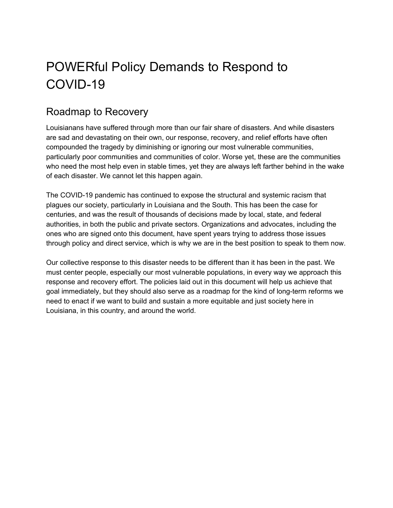# POWERful Policy Demands to Respond to COVID-19

## Roadmap to Recovery

Louisianans have suffered through more than our fair share of disasters. And while disasters are sad and devastating on their own, our response, recovery, and relief efforts have often compounded the tragedy by diminishing or ignoring our most vulnerable communities, particularly poor communities and communities of color. Worse yet, these are the communities who need the most help even in stable times, yet they are always left farther behind in the wake of each disaster. We cannot let this happen again.

The COVID-19 pandemic has continued to expose the structural and systemic racism that plagues our society, particularly in Louisiana and the South. This has been the case for centuries, and was the result of thousands of decisions made by local, state, and federal authorities, in both the public and private sectors. Organizations and advocates, including the ones who are signed onto this document, have spent years trying to address those issues through policy and direct service, which is why we are in the best position to speak to them now.

Our collective response to this disaster needs to be different than it has been in the past. We must center people, especially our most vulnerable populations, in every way we approach this response and recovery effort. The policies laid out in this document will help us achieve that goal immediately, but they should also serve as a roadmap for the kind of long-term reforms we need to enact if we want to build and sustain a more equitable and just society here in Louisiana, in this country, and around the world.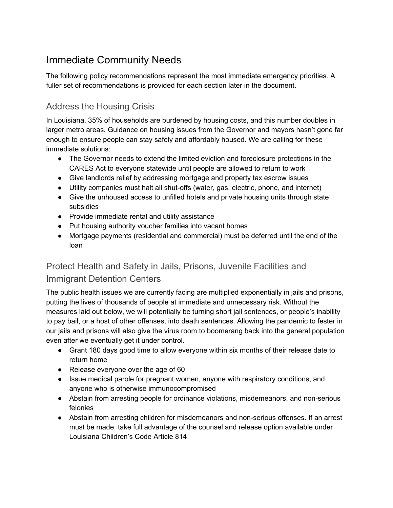# Immediate Community Needs

The following policy recommendations represent the most immediate emergency priorities. A fuller set of recommendations is provided for each section later in the document.

### Address the Housing Crisis

In Louisiana, 35% of households are burdened by housing costs, and this number doubles in larger metro areas. Guidance on housing issues from the Governor and mayors hasn't gone far enough to ensure people can stay safely and affordably housed. We are calling for these immediate solutions:

- The Governor needs to extend the limited eviction and foreclosure protections in the CARES Act to everyone statewide until people are allowed to return to work
- Give landlords relief by addressing mortgage and property tax escrow issues
- Utility companies must halt all shut-offs (water, gas, electric, phone, and internet)
- Give the unhoused access to unfilled hotels and private housing units through state subsidies
- Provide immediate rental and utility assistance
- Put housing authority voucher families into vacant homes
- Mortgage payments (residential and commercial) must be deferred until the end of the loan

## Protect Health and Safety in Jails, Prisons, Juvenile Facilities and Immigrant Detention Centers

The public health issues we are currently facing are multiplied exponentially in jails and prisons, putting the lives of thousands of people at immediate and unnecessary risk. Without the measures laid out below, we will potentially be turning short jail sentences, or people's inability to pay bail, or a host of other offenses, into death sentences. Allowing the pandemic to fester in our jails and prisons will also give the virus room to boomerang back into the general population even after we eventually get it under control.

- Grant 180 days good time to allow everyone within six months of their release date to return home
- Release everyone over the age of 60
- Issue medical parole for pregnant women, anyone with respiratory conditions, and anyone who is otherwise immunocompromised
- Abstain from arresting people for ordinance violations, misdemeanors, and non-serious felonies
- Abstain from arresting children for misdemeanors and non-serious offenses. If an arrest must be made, take full advantage of the counsel and release option available under Louisiana Children's Code Article 814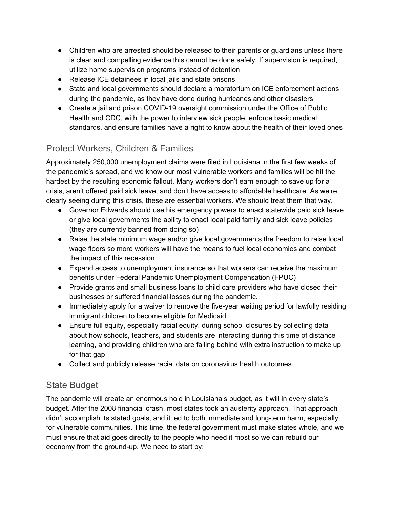- Children who are arrested should be released to their parents or guardians unless there is clear and compelling evidence this cannot be done safely. If supervision is required, utilize home supervision programs instead of detention
- Release ICE detainees in local jails and state prisons
- State and local governments should declare a moratorium on ICE enforcement actions during the pandemic, as they have done during hurricanes and other disasters
- Create a jail and prison COVID-19 oversight commission under the Office of Public Health and CDC, with the power to interview sick people, enforce basic medical standards, and ensure families have a right to know about the health of their loved ones

### Protect Workers, Children & Families

Approximately 250,000 unemployment claims were filed in Louisiana in the first few weeks of the pandemic's spread, and we know our most vulnerable workers and families will be hit the hardest by the resulting economic fallout. Many workers don't earn enough to save up for a crisis, aren't offered paid sick leave, and don't have access to affordable healthcare. As we're clearly seeing during this crisis, these are essential workers. We should treat them that way.

- Governor Edwards should use his emergency powers to enact statewide paid sick leave or give local governments the ability to enact local paid family and sick leave policies (they are currently banned from doing so)
- Raise the state minimum wage and/or give local governments the freedom to raise local wage floors so more workers will have the means to fuel local economies and combat the impact of this recession
- Expand access to unemployment insurance so that workers can receive the maximum benefits under Federal Pandemic Unemployment Compensation (FPUC)
- Provide grants and small business loans to child care providers who have closed their businesses or suffered financial losses during the pandemic.
- Immediately apply for a waiver to remove the five-year waiting period for lawfully residing immigrant children to become eligible for Medicaid.
- Ensure full equity, especially racial equity, during school closures by collecting data about how schools, teachers, and students are interacting during this time of distance learning, and providing children who are falling behind with extra instruction to make up for that gap
- Collect and publicly release racial data on coronavirus health outcomes.

### State Budget

The pandemic will create an enormous hole in Louisiana's budget, as it will in every state's budget. After the 2008 financial crash, most states took an austerity approach. That approach didn't accomplish its stated goals, and it led to both immediate and long-term harm, especially for vulnerable communities. This time, the federal government must make states whole, and we must ensure that aid goes directly to the people who need it most so we can rebuild our economy from the ground-up. We need to start by: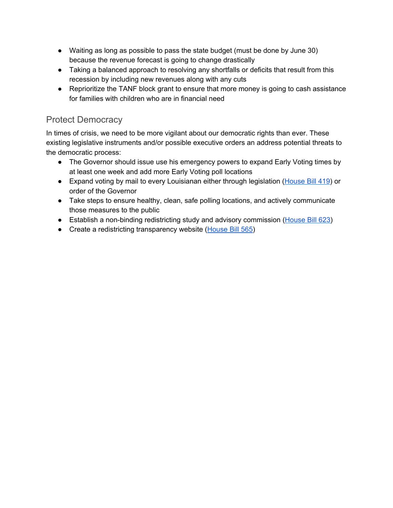- Waiting as long as possible to pass the state budget (must be done by June 30) because the revenue forecast is going to change drastically
- Taking a balanced approach to resolving any shortfalls or deficits that result from this recession by including new revenues along with any cuts
- Reprioritize the TANF block grant to ensure that more money is going to cash assistance for families with children who are in financial need

### Protect Democracy

In times of crisis, we need to be more vigilant about our democratic rights than ever. These existing legislative instruments and/or possible executive orders an address potential threats to the democratic process:

- The Governor should issue use his emergency powers to expand Early Voting times by at least one week and add more Early Voting poll locations
- Expand voting by mail to every Louisianan either through legislation [\(House](http://www.legis.la.gov/legis/ViewDocument.aspx?d=1162550) Bill 419) or order of the Governor
- Take steps to ensure healthy, clean, safe polling locations, and actively communicate those measures to the public
- Establish a non-binding redistricting study and advisory commission [\(House](http://www.legis.la.gov/legis/ViewDocument.aspx?d=1163856) Bill 623)
- Create a redistricting transparency website [\(House](http://www.legis.la.gov/legis/ViewDocument.aspx?d=1163573) Bill 565)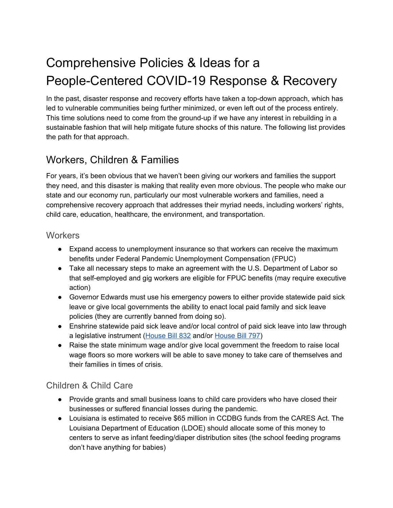# Comprehensive Policies & Ideas for a People-Centered COVID-19 Response & Recovery

In the past, disaster response and recovery efforts have taken a top-down approach, which has led to vulnerable communities being further minimized, or even left out of the process entirely. This time solutions need to come from the ground-up if we have any interest in rebuilding in a sustainable fashion that will help mitigate future shocks of this nature. The following list provides the path for that approach.

# Workers, Children & Families

For years, it's been obvious that we haven't been giving our workers and families the support they need, and this disaster is making that reality even more obvious. The people who make our state and our economy run, particularly our most vulnerable workers and families, need a comprehensive recovery approach that addresses their myriad needs, including workers' rights, child care, education, healthcare, the environment, and transportation.

### **Workers**

- Expand access to unemployment insurance so that workers can receive the maximum benefits under Federal Pandemic Unemployment Compensation (FPUC)
- Take all necessary steps to make an agreement with the U.S. Department of Labor so that self-employed and gig workers are eligible for FPUC benefits (may require executive action)
- Governor Edwards must use his emergency powers to either provide statewide paid sick leave or give local governments the ability to enact local paid family and sick leave policies (they are currently banned from doing so).
- Enshrine statewide paid sick leave and/or local control of paid sick leave into law through a legislative instrument [\(House](http://www.legis.la.gov/legis/ViewDocument.aspx?d=1168180) Bill 832 and/or [House](http://www.legis.la.gov/legis/ViewDocument.aspx?d=1167958) Bill 797)
- Raise the state minimum wage and/or give local government the freedom to raise local wage floors so more workers will be able to save money to take care of themselves and their families in times of crisis.

### Children & Child Care

- Provide grants and small business loans to child care providers who have closed their businesses or suffered financial losses during the pandemic.
- Louisiana is estimated to receive \$65 million in CCDBG funds from the CARES Act. The Louisiana Department of Education (LDOE) should allocate some of this money to centers to serve as infant feeding/diaper distribution sites (the school feeding programs don't have anything for babies)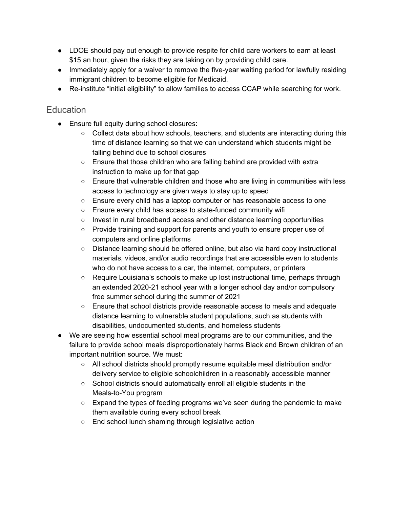- LDOE should pay out enough to provide respite for child care workers to earn at least \$15 an hour, given the risks they are taking on by providing child care.
- Immediately apply for a waiver to remove the five-year waiting period for lawfully residing immigrant children to become eligible for Medicaid.
- Re-institute "initial eligibility" to allow families to access CCAP while searching for work.

### **Education**

- Ensure full equity during school closures:
	- $\circ$  Collect data about how schools, teachers, and students are interacting during this time of distance learning so that we can understand which students might be falling behind due to school closures
	- Ensure that those children who are falling behind are provided with extra instruction to make up for that gap
	- Ensure that vulnerable children and those who are living in communities with less access to technology are given ways to stay up to speed
	- Ensure every child has a laptop computer or has reasonable access to one
	- Ensure every child has access to state-funded community wifi
	- Invest in rural broadband access and other distance learning opportunities
	- Provide training and support for parents and youth to ensure proper use of computers and online platforms
	- Distance learning should be offered online, but also via hard copy instructional materials, videos, and/or audio recordings that are accessible even to students who do not have access to a car, the internet, computers, or printers
	- Require Louisiana's schools to make up lost instructional time, perhaps through an extended 2020-21 school year with a longer school day and/or compulsory free summer school during the summer of 2021
	- Ensure that school districts provide reasonable access to meals and adequate distance learning to vulnerable student populations, such as students with disabilities, undocumented students, and homeless students
- We are seeing how essential school meal programs are to our communities, and the failure to provide school meals disproportionately harms Black and Brown children of an important nutrition source. We must:
	- All school districts should promptly resume equitable meal distribution and/or delivery service to eligible schoolchildren in a reasonably accessible manner
	- School districts should automatically enroll all eligible students in the Meals-to-You program
	- $\circ$  Expand the types of feeding programs we've seen during the pandemic to make them available during every school break
	- End school lunch shaming through legislative action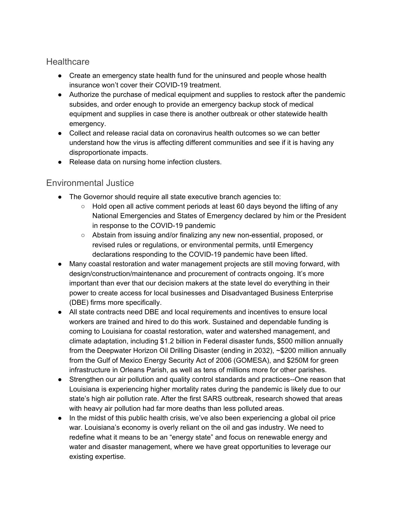### **Healthcare**

- Create an emergency state health fund for the uninsured and people whose health insurance won't cover their COVID-19 treatment.
- Authorize the purchase of medical equipment and supplies to restock after the pandemic subsides, and order enough to provide an emergency backup stock of medical equipment and supplies in case there is another outbreak or other statewide health emergency.
- Collect and release racial data on coronavirus health outcomes so we can better understand how the virus is affecting different communities and see if it is having any disproportionate impacts.
- Release data on nursing home infection clusters.

### Environmental Justice

- The Governor should require all state executive branch agencies to:
	- $\circ$  Hold open all active comment periods at least 60 days beyond the lifting of any National Emergencies and States of Emergency declared by him or the President in response to the COVID-19 pandemic
	- Abstain from issuing and/or finalizing any new non-essential, proposed, or revised rules or regulations, or environmental permits, until Emergency declarations responding to the COVID-19 pandemic have been lifted.
- Many coastal restoration and water management projects are still moving forward, with design/construction/maintenance and procurement of contracts ongoing. It's more important than ever that our decision makers at the state level do everything in their power to create access for local businesses and Disadvantaged Business Enterprise (DBE) firms more specifically.
- All state contracts need DBE and local requirements and incentives to ensure local workers are trained and hired to do this work. Sustained and dependable funding is coming to Louisiana for coastal restoration, water and watershed management, and climate adaptation, including \$1.2 billion in Federal disaster funds, \$500 million annually from the Deepwater Horizon Oil Drilling Disaster (ending in 2032), ~\$200 million annually from the Gulf of Mexico Energy Security Act of 2006 (GOMESA), and \$250M for green infrastructure in Orleans Parish, as well as tens of millions more for other parishes.
- Strengthen our air pollution and quality control standards and practices--One reason that Louisiana is experiencing higher mortality rates during the pandemic is likely due to our state's high air pollution rate. After the first SARS outbreak, research showed that areas with heavy air pollution had far more deaths than less polluted areas.
- In the midst of this public health crisis, we've also been experiencing a global oil price war. Louisiana's economy is overly reliant on the oil and gas industry. We need to redefine what it means to be an "energy state" and focus on renewable energy and water and disaster management, where we have great opportunities to leverage our existing expertise.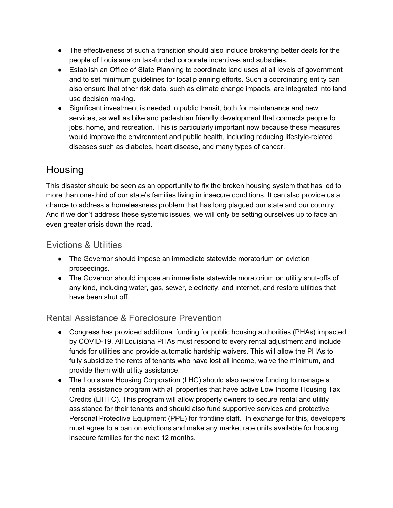- The effectiveness of such a transition should also include brokering better deals for the people of Louisiana on tax-funded corporate incentives and subsidies.
- Establish an Office of State Planning to coordinate land uses at all levels of government and to set minimum guidelines for local planning efforts. Such a coordinating entity can also ensure that other risk data, such as climate change impacts, are integrated into land use decision making.
- Significant investment is needed in public transit, both for maintenance and new services, as well as bike and pedestrian friendly development that connects people to jobs, home, and recreation. This is particularly important now because these measures would improve the environment and public health, including reducing lifestyle-related diseases such as diabetes, heart disease, and many types of cancer.

# **Housing**

This disaster should be seen as an opportunity to fix the broken housing system that has led to more than one-third of our state's families living in insecure conditions. It can also provide us a chance to address a homelessness problem that has long plagued our state and our country. And if we don't address these systemic issues, we will only be setting ourselves up to face an even greater crisis down the road.

### Evictions & Utilities

- The Governor should impose an immediate statewide moratorium on eviction proceedings.
- The Governor should impose an immediate statewide moratorium on utility shut-offs of any kind, including water, gas, sewer, electricity, and internet, and restore utilities that have been shut off.

### Rental Assistance & Foreclosure Prevention

- Congress has provided additional funding for public housing authorities (PHAs) impacted by COVID-19. All Louisiana PHAs must respond to every rental adjustment and include funds for utilities and provide automatic hardship waivers. This will allow the PHAs to fully subsidize the rents of tenants who have lost all income, waive the minimum, and provide them with utility assistance.
- The Louisiana Housing Corporation (LHC) should also receive funding to manage a rental assistance program with all properties that have active Low Income Housing Tax Credits (LIHTC). This program will allow property owners to secure rental and utility assistance for their tenants and should also fund supportive services and protective Personal Protective Equipment (PPE) for frontline staff. In exchange for this, developers must agree to a ban on evictions and make any market rate units available for housing insecure families for the next 12 months.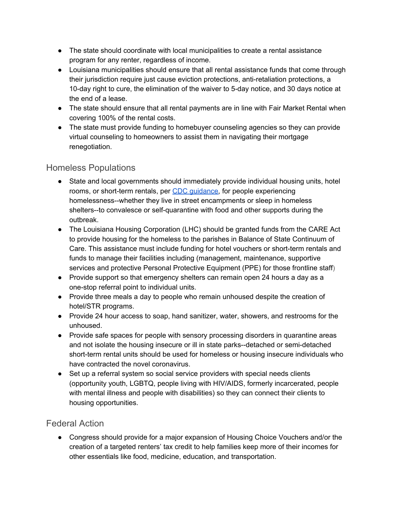- The state should coordinate with local municipalities to create a rental assistance program for any renter, regardless of income.
- Louisiana municipalities should ensure that all rental assistance funds that come through their jurisdiction require just cause eviction protections, anti-retaliation protections, a 10-day right to cure, the elimination of the waiver to 5-day notice, and 30 days notice at the end of a lease.
- The state should ensure that all rental payments are in line with Fair Market Rental when covering 100% of the rental costs.
- The state must provide funding to homebuyer counseling agencies so they can provide virtual counseling to homeowners to assist them in navigating their mortgage renegotiation.

### Homeless Populations

- State and local governments should immediately provide individual housing units, hotel rooms, or short-term rentals, per CDC [guidance](https://www.cdc.gov/coronavirus/2019-ncov/community/homeless-shelters/unsheltered-homelessness.html), for people experiencing homelessness--whether they live in street encampments or sleep in homeless shelters--to convalesce or self-quarantine with food and other supports during the outbreak.
- The Louisiana Housing Corporation (LHC) should be granted funds from the CARE Act to provide housing for the homeless to the parishes in Balance of State Continuum of Care. This assistance must include funding for hotel vouchers or short-term rentals and funds to manage their facilities including (management, maintenance, supportive services and protective Personal Protective Equipment (PPE) for those frontline staff)
- Provide support so that emergency shelters can remain open 24 hours a day as a one-stop referral point to individual units.
- Provide three meals a day to people who remain unhoused despite the creation of hotel/STR programs.
- Provide 24 hour access to soap, hand sanitizer, water, showers, and restrooms for the unhoused.
- Provide safe spaces for people with sensory processing disorders in quarantine areas and not isolate the housing insecure or ill in state parks--detached or semi-detached short-term rental units should be used for homeless or housing insecure individuals who have contracted the novel coronavirus.
- Set up a referral system so social service providers with special needs clients (opportunity youth, LGBTQ, people living with HIV/AIDS, formerly incarcerated, people with mental illness and people with disabilities) so they can connect their clients to housing opportunities.

### Federal Action

● Congress should provide for a major expansion of Housing Choice Vouchers and/or the creation of a targeted renters' tax credit to help families keep more of their incomes for other essentials like food, medicine, education, and transportation.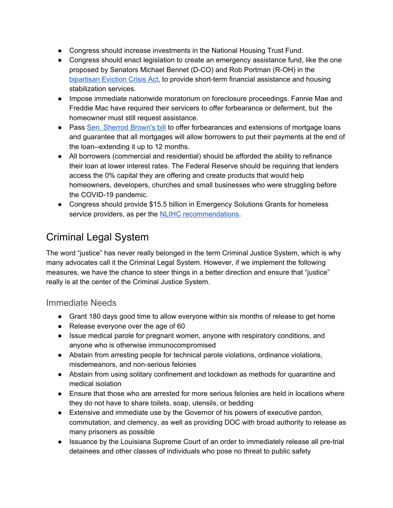- Congress should increase investments in the National Housing Trust Fund.
- Congress should enact legislation to create an emergency assistance fund, like the one proposed by Senators Michael Bennet (D-CO) and Rob Portman (R-OH) in the [bipartisan](https://www.opportunityhome.org/campaigns-statement-on-the-introduction-of-the-eviction-crisis-act-of-2019/) Eviction Crisis Act, to provide short-term financial assistance and housing stabilization services.
- Impose immediate nationwide moratorium on foreclosure proceedings. Fannie Mae and Freddie Mac have required their servicers to offer forbearance or deferment, but the homeowner must still request assistance.
- Pass Sen. [Sherrod](https://www.brown.senate.gov/newsroom/press/release/brown-introduces-legislation-to-protect-working-families-from-foreclosure-late-payments-during-the-covid-19-pandemic) Brown's bill to offer forbearances and extensions of mortgage loans and guarantee that all mortgages will allow borrowers to put their payments at the end of the loan--extending it up to 12 months.
- All borrowers (commercial and residential) should be afforded the ability to refinance their loan at lower interest rates. The Federal Reserve should be requiring that lenders access the 0% capital they are offering and create products that would help homeowners, developers, churches and small businesses who were struggling before the COVID-19 pandemic.
- Congress should provide \$15.5 billion in Emergency Solutions Grants for homeless service providers, as per the NLIHC [recommendations.](https://nlihc.org/responding-coronavirus)

# Criminal Legal System

The word "justice" has never really belonged in the term Criminal Justice System, which is why many advocates call it the Criminal Legal System. However, if we implement the following measures, we have the chance to steer things in a better direction and ensure that "justice" really is at the center of the Criminal Justice System.

### Immediate Needs

- Grant 180 days good time to allow everyone within six months of release to get home
- Release everyone over the age of 60
- Issue medical parole for pregnant women, anyone with respiratory conditions, and anyone who is otherwise immunocompromised
- Abstain from arresting people for technical parole violations, ordinance violations, misdemeanors, and non-serious felonies
- Abstain from using solitary confinement and lockdown as methods for quarantine and medical isolation
- Ensure that those who are arrested for more serious felonies are held in locations where they do not have to share toilets, soap, utensils, or bedding
- Extensive and immediate use by the Governor of his powers of executive pardon, commutation, and clemency, as well as providing DOC with broad authority to release as many prisoners as possible
- Issuance by the Louisiana Supreme Court of an order to immediately release all pre-trial detainees and other classes of individuals who pose no threat to public safety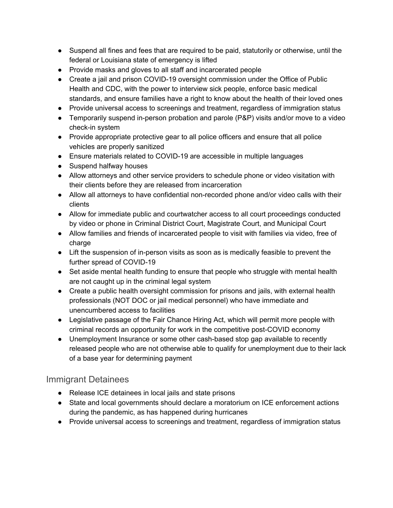- Suspend all fines and fees that are required to be paid, statutorily or otherwise, until the federal or Louisiana state of emergency is lifted
- Provide masks and gloves to all staff and incarcerated people
- Create a jail and prison COVID-19 oversight commission under the Office of Public Health and CDC, with the power to interview sick people, enforce basic medical standards, and ensure families have a right to know about the health of their loved ones
- Provide universal access to screenings and treatment, regardless of immigration status
- Temporarily suspend in-person probation and parole (P&P) visits and/or move to a video check-in system
- Provide appropriate protective gear to all police officers and ensure that all police vehicles are properly sanitized
- Ensure materials related to COVID-19 are accessible in multiple languages
- Suspend halfway houses
- Allow attorneys and other service providers to schedule phone or video visitation with their clients before they are released from incarceration
- Allow all attorneys to have confidential non-recorded phone and/or video calls with their clients
- Allow for immediate public and courtwatcher access to all court proceedings conducted by video or phone in Criminal District Court, Magistrate Court, and Municipal Court
- Allow families and friends of incarcerated people to visit with families via video, free of charge
- Lift the suspension of in-person visits as soon as is medically feasible to prevent the further spread of COVID-19
- Set aside mental health funding to ensure that people who struggle with mental health are not caught up in the criminal legal system
- Create a public health oversight commission for prisons and jails, with external health professionals (NOT DOC or jail medical personnel) who have immediate and unencumbered access to facilities
- Legislative passage of the Fair Chance Hiring Act, which will permit more people with criminal records an opportunity for work in the competitive post-COVID economy
- Unemployment Insurance or some other cash-based stop gap available to recently released people who are not otherwise able to qualify for unemployment due to their lack of a base year for determining payment

### Immigrant Detainees

- Release ICE detainees in local jails and state prisons
- State and local governments should declare a moratorium on ICE enforcement actions during the pandemic, as has happened during hurricanes
- Provide universal access to screenings and treatment, regardless of immigration status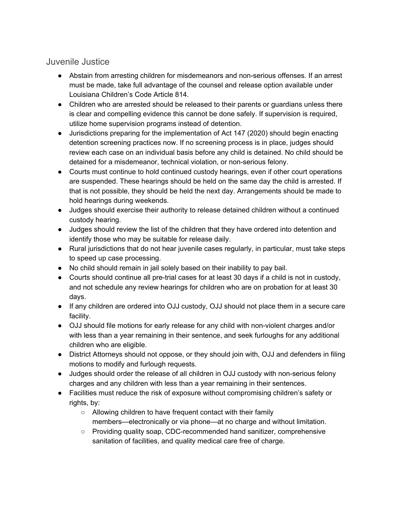### Juvenile Justice

- Abstain from arresting children for misdemeanors and non-serious offenses. If an arrest must be made, take full advantage of the counsel and release option available under Louisiana Children's Code Article 814.
- Children who are arrested should be released to their parents or guardians unless there is clear and compelling evidence this cannot be done safely. If supervision is required, utilize home supervision programs instead of detention.
- Jurisdictions preparing for the implementation of Act 147 (2020) should begin enacting detention screening practices now. If no screening process is in place, judges should review each case on an individual basis before any child is detained. No child should be detained for a misdemeanor, technical violation, or non-serious felony.
- Courts must continue to hold continued custody hearings, even if other court operations are suspended. These hearings should be held on the same day the child is arrested. If that is not possible, they should be held the next day. Arrangements should be made to hold hearings during weekends.
- Judges should exercise their authority to release detained children without a continued custody hearing.
- Judges should review the list of the children that they have ordered into detention and identify those who may be suitable for release daily.
- Rural jurisdictions that do not hear juvenile cases regularly, in particular, must take steps to speed up case processing.
- No child should remain in jail solely based on their inability to pay bail.
- Courts should continue all pre-trial cases for at least 30 days if a child is not in custody, and not schedule any review hearings for children who are on probation for at least 30 days.
- If any children are ordered into OJJ custody, OJJ should not place them in a secure care facility.
- OJJ should file motions for early release for any child with non-violent charges and/or with less than a year remaining in their sentence, and seek furloughs for any additional children who are eligible.
- District Attorneys should not oppose, or they should join with, OJJ and defenders in filing motions to modify and furlough requests.
- Judges should order the release of all children in OJJ custody with non-serious felony charges and any children with less than a year remaining in their sentences.
- Facilities must reduce the risk of exposure without compromising children's safety or rights, by:
	- Allowing children to have frequent contact with their family members—electronically or via phone—at no charge and without limitation.
	- Providing quality soap, CDC-recommended hand sanitizer, comprehensive sanitation of facilities, and quality medical care free of charge.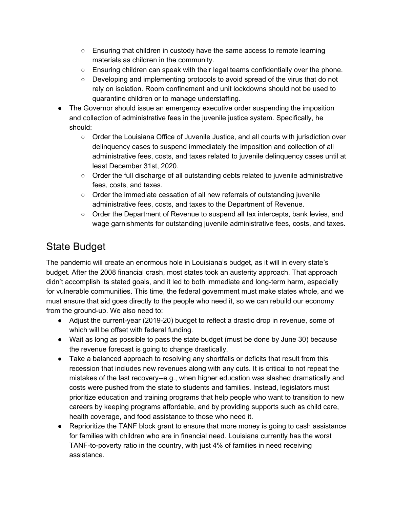- $\circ$  Ensuring that children in custody have the same access to remote learning materials as children in the community.
- $\circ$  Ensuring children can speak with their legal teams confidentially over the phone.
- Developing and implementing protocols to avoid spread of the virus that do not rely on isolation. Room confinement and unit lockdowns should not be used to quarantine children or to manage understaffing.
- The Governor should issue an emergency executive order suspending the imposition and collection of administrative fees in the juvenile justice system. Specifically, he should:
	- Order the Louisiana Office of Juvenile Justice, and all courts with jurisdiction over delinquency cases to suspend immediately the imposition and collection of all administrative fees, costs, and taxes related to juvenile delinquency cases until at least December 31st, 2020.
	- Order the full discharge of all outstanding debts related to juvenile administrative fees, costs, and taxes.
	- Order the immediate cessation of all new referrals of outstanding juvenile administrative fees, costs, and taxes to the Department of Revenue.
	- Order the Department of Revenue to suspend all tax intercepts, bank levies, and wage garnishments for outstanding juvenile administrative fees, costs, and taxes.

# State Budget

The pandemic will create an enormous hole in Louisiana's budget, as it will in every state's budget. After the 2008 financial crash, most states took an austerity approach. That approach didn't accomplish its stated goals, and it led to both immediate and long-term harm, especially for vulnerable communities. This time, the federal government must make states whole, and we must ensure that aid goes directly to the people who need it, so we can rebuild our economy from the ground-up. We also need to:

- Adjust the current-year (2019-20) budget to reflect a drastic drop in revenue, some of which will be offset with federal funding.
- Wait as long as possible to pass the state budget (must be done by June 30) because the revenue forecast is going to change drastically.
- Take a balanced approach to resolving any shortfalls or deficits that result from this recession that includes new revenues along with any cuts. It is critical to not repeat the mistakes of the last recovery--e.g., when higher education was slashed dramatically and costs were pushed from the state to students and families. Instead, legislators must prioritize education and training programs that help people who want to transition to new careers by keeping programs affordable, and by providing supports such as child care, health coverage, and food assistance to those who need it.
- Reprioritize the TANF block grant to ensure that more money is going to cash assistance for families with children who are in financial need. Louisiana currently has the worst TANF-to-poverty ratio in the country, with just 4% of families in need receiving assistance.